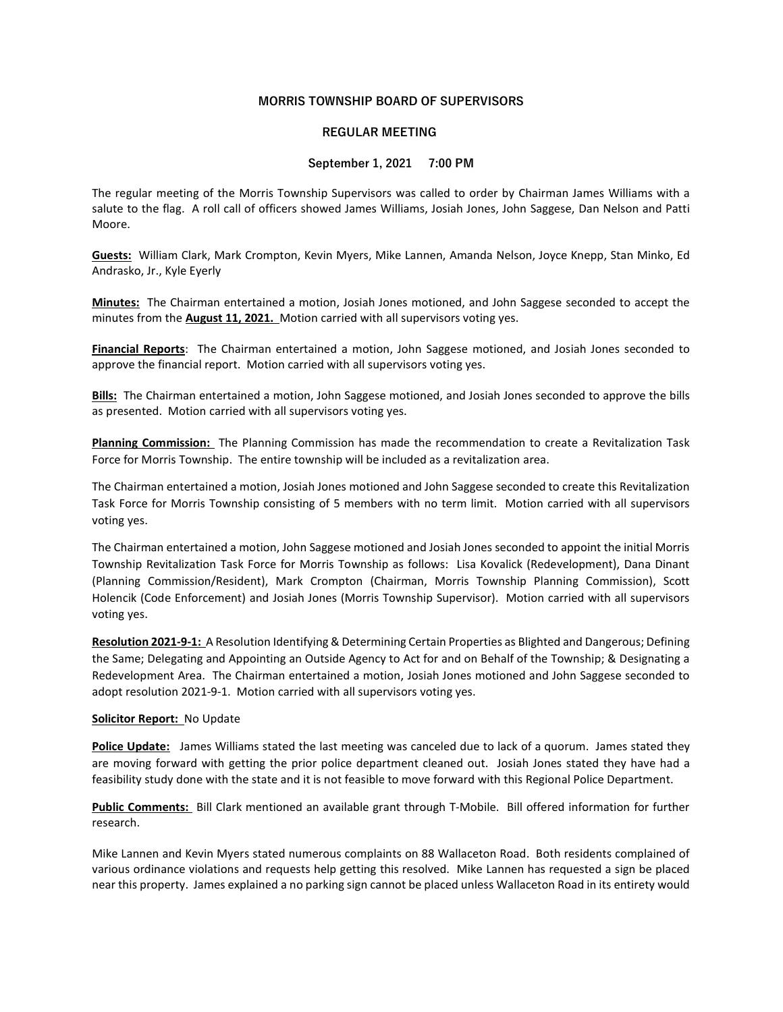# MORRIS TOWNSHIP BOARD OF SUPERVISORS

## REGULAR MEETING

## September 1, 2021 7:00 PM

The regular meeting of the Morris Township Supervisors was called to order by Chairman James Williams with a salute to the flag. A roll call of officers showed James Williams, Josiah Jones, John Saggese, Dan Nelson and Patti Moore.

Guests: William Clark, Mark Crompton, Kevin Myers, Mike Lannen, Amanda Nelson, Joyce Knepp, Stan Minko, Ed Andrasko, Jr., Kyle Eyerly

Minutes: The Chairman entertained a motion, Josiah Jones motioned, and John Saggese seconded to accept the minutes from the **August 11, 2021.** Motion carried with all supervisors voting yes.

Financial Reports: The Chairman entertained a motion, John Saggese motioned, and Josiah Jones seconded to approve the financial report. Motion carried with all supervisors voting yes.

Bills: The Chairman entertained a motion, John Saggese motioned, and Josiah Jones seconded to approve the bills as presented. Motion carried with all supervisors voting yes.

Planning Commission: The Planning Commission has made the recommendation to create a Revitalization Task Force for Morris Township. The entire township will be included as a revitalization area.

The Chairman entertained a motion, Josiah Jones motioned and John Saggese seconded to create this Revitalization Task Force for Morris Township consisting of 5 members with no term limit. Motion carried with all supervisors voting yes.

The Chairman entertained a motion, John Saggese motioned and Josiah Jones seconded to appoint the initial Morris Township Revitalization Task Force for Morris Township as follows: Lisa Kovalick (Redevelopment), Dana Dinant (Planning Commission/Resident), Mark Crompton (Chairman, Morris Township Planning Commission), Scott Holencik (Code Enforcement) and Josiah Jones (Morris Township Supervisor). Motion carried with all supervisors voting yes.

Resolution 2021-9-1: A Resolution Identifying & Determining Certain Properties as Blighted and Dangerous; Defining the Same; Delegating and Appointing an Outside Agency to Act for and on Behalf of the Township; & Designating a Redevelopment Area. The Chairman entertained a motion, Josiah Jones motioned and John Saggese seconded to adopt resolution 2021-9-1. Motion carried with all supervisors voting yes.

#### Solicitor Report: No Update

Police Update: James Williams stated the last meeting was canceled due to lack of a quorum. James stated they are moving forward with getting the prior police department cleaned out. Josiah Jones stated they have had a feasibility study done with the state and it is not feasible to move forward with this Regional Police Department.

Public Comments: Bill Clark mentioned an available grant through T-Mobile. Bill offered information for further research.

Mike Lannen and Kevin Myers stated numerous complaints on 88 Wallaceton Road. Both residents complained of various ordinance violations and requests help getting this resolved. Mike Lannen has requested a sign be placed near this property. James explained a no parking sign cannot be placed unless Wallaceton Road in its entirety would